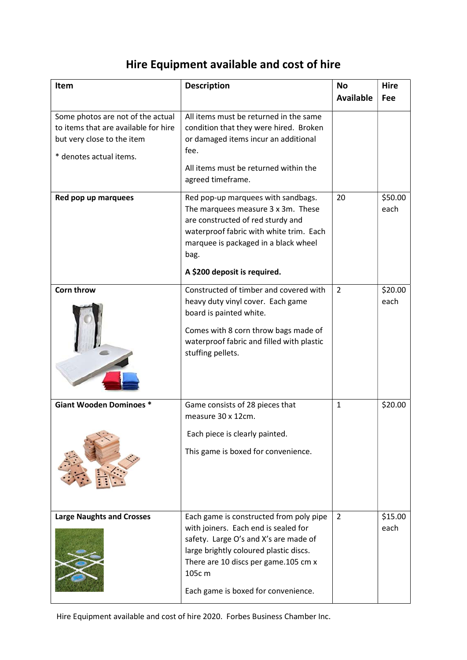## Hire Equipment available and cost of hire

| Item                                                                                                                               | <b>Description</b>                                                                                                                                                                                                                                          | <b>No</b>        | <b>Hire</b>     |
|------------------------------------------------------------------------------------------------------------------------------------|-------------------------------------------------------------------------------------------------------------------------------------------------------------------------------------------------------------------------------------------------------------|------------------|-----------------|
|                                                                                                                                    |                                                                                                                                                                                                                                                             | <b>Available</b> | Fee             |
| Some photos are not of the actual<br>to items that are available for hire<br>but very close to the item<br>* denotes actual items. | All items must be returned in the same<br>condition that they were hired. Broken<br>or damaged items incur an additional<br>fee.<br>All items must be returned within the<br>agreed timeframe.                                                              |                  |                 |
| Red pop up marquees                                                                                                                | Red pop-up marquees with sandbags.<br>The marquees measure 3 x 3m. These<br>are constructed of red sturdy and<br>waterproof fabric with white trim. Each<br>marquee is packaged in a black wheel<br>bag.<br>A \$200 deposit is required.                    | 20               | \$50.00<br>each |
| Corn throw                                                                                                                         | Constructed of timber and covered with<br>heavy duty vinyl cover. Each game<br>board is painted white.<br>Comes with 8 corn throw bags made of<br>waterproof fabric and filled with plastic<br>stuffing pellets.                                            | $\overline{2}$   | \$20.00<br>each |
| <b>Giant Wooden Dominoes *</b>                                                                                                     | Game consists of 28 pieces that<br>measure 30 x 12cm.<br>Each piece is clearly painted.<br>This game is boxed for convenience.                                                                                                                              | $\mathbf{1}$     | \$20.00         |
| <b>Large Naughts and Crosses</b>                                                                                                   | Each game is constructed from poly pipe<br>with joiners. Each end is sealed for<br>safety. Large O's and X's are made of<br>large brightly coloured plastic discs.<br>There are 10 discs per game.105 cm x<br>105c m<br>Each game is boxed for convenience. | $\overline{2}$   | \$15.00<br>each |

Hire Equipment available and cost of hire 2020. Forbes Business Chamber Inc.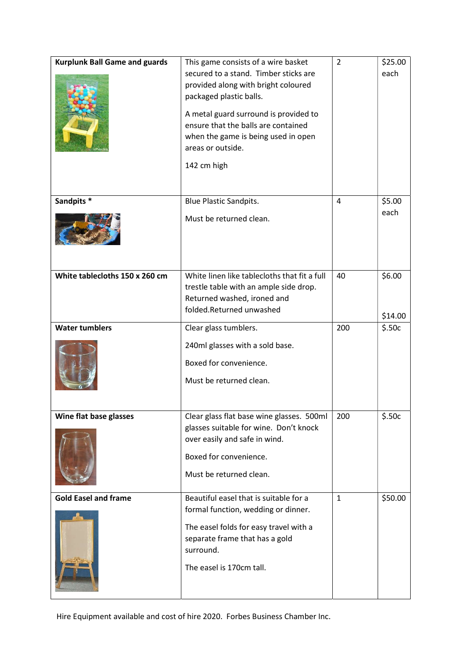| <b>Kurplunk Ball Game and guards</b> | This game consists of a wire basket<br>secured to a stand. Timber sticks are<br>provided along with bright coloured<br>packaged plastic balls.<br>A metal guard surround is provided to<br>ensure that the balls are contained<br>when the game is being used in open<br>areas or outside.<br>142 cm high | $\overline{2}$ | \$25.00<br>each   |
|--------------------------------------|-----------------------------------------------------------------------------------------------------------------------------------------------------------------------------------------------------------------------------------------------------------------------------------------------------------|----------------|-------------------|
| Sandpits *                           | <b>Blue Plastic Sandpits.</b><br>Must be returned clean.                                                                                                                                                                                                                                                  | 4              | \$5.00<br>each    |
| White tablecloths 150 x 260 cm       | White linen like tablecloths that fit a full<br>trestle table with an ample side drop.<br>Returned washed, ironed and<br>folded.Returned unwashed                                                                                                                                                         | 40             | \$6.00<br>\$14.00 |
| <b>Water tumblers</b>                | Clear glass tumblers.<br>240ml glasses with a sold base.<br>Boxed for convenience.<br>Must be returned clean.                                                                                                                                                                                             | 200            | \$.50c            |
| Wine flat base glasses               | Clear glass flat base wine glasses. 500ml<br>glasses suitable for wine. Don't knock<br>over easily and safe in wind.<br>Boxed for convenience.<br>Must be returned clean.                                                                                                                                 | 200            | \$.50c            |
| <b>Gold Easel and frame</b>          | Beautiful easel that is suitable for a<br>formal function, wedding or dinner.<br>The easel folds for easy travel with a<br>separate frame that has a gold<br>surround.<br>The easel is 170cm tall.                                                                                                        | $\mathbf{1}$   | \$50.00           |

Hire Equipment available and cost of hire 2020. Forbes Business Chamber Inc.